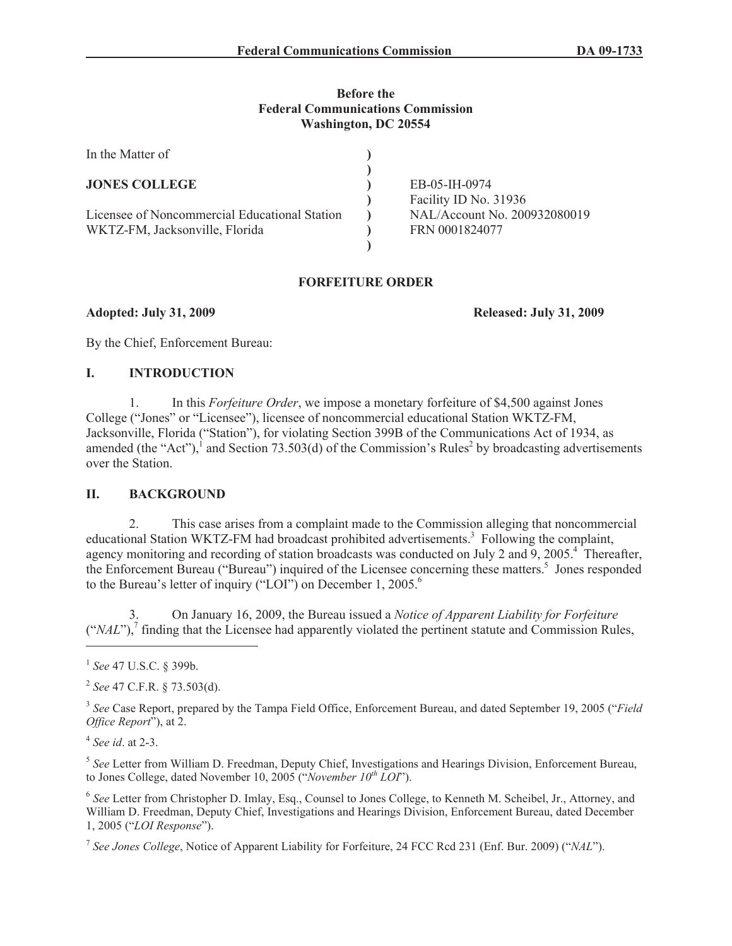#### **Before the Federal Communications Commission Washington, DC 20554**

| In the Matter of                                                                |                                                |
|---------------------------------------------------------------------------------|------------------------------------------------|
| <b>JONES COLLEGE</b>                                                            | EB-05-IH-0974<br>Facility ID No. 31936         |
| Licensee of Noncommercial Educational Station<br>WKTZ-FM, Jacksonville, Florida | NAL/Account No. 200932080019<br>FRN 0001824077 |
|                                                                                 |                                                |

### **FORFEITURE ORDER**

**Adopted: July 31, 2009 Released: July 31, 2009**

By the Chief, Enforcement Bureau:

### **I. INTRODUCTION**

1. In this *Forfeiture Order*, we impose a monetary forfeiture of \$4,500 against Jones College ("Jones" or "Licensee"), licensee of noncommercial educational Station WKTZ-FM, Jacksonville, Florida ("Station"), for violating Section 399B of the Communications Act of 1934, as amended (the "Act"),<sup>1</sup> and Section 73.503(d) of the Commission's Rules<sup>2</sup> by broadcasting advertisements over the Station.

# **II. BACKGROUND**

2. This case arises from a complaint made to the Commission alleging that noncommercial educational Station WKTZ-FM had broadcast prohibited advertisements.<sup>3</sup> Following the complaint, agency monitoring and recording of station broadcasts was conducted on July 2 and 9, 2005.<sup>4</sup> Thereafter, the Enforcement Bureau ("Bureau") inquired of the Licensee concerning these matters.<sup>5</sup> Jones responded to the Bureau's letter of inquiry ("LOI") on December 1, 2005.<sup>6</sup>

3. On January 16, 2009, the Bureau issued a *Notice of Apparent Liability for Forfeiture*  $("NAL")$ ,<sup>7</sup> finding that the Licensee had apparently violated the pertinent statute and Commission Rules,

5 *See* Letter from William D. Freedman, Deputy Chief, Investigations and Hearings Division, Enforcement Bureau, to Jones College, dated November 10, 2005 ("*November 10th LOI*").

6 *See* Letter from Christopher D. Imlay, Esq., Counsel to Jones College, to Kenneth M. Scheibel, Jr., Attorney, and William D. Freedman, Deputy Chief, Investigations and Hearings Division, Enforcement Bureau, dated December 1, 2005 ("*LOI Response*").

7 *See Jones College*, Notice of Apparent Liability for Forfeiture, 24 FCC Rcd 231 (Enf. Bur. 2009) ("*NAL*").

<sup>1</sup> *See* 47 U.S.C. § 399b.

<sup>2</sup> *See* 47 C.F.R. § 73.503(d).

<sup>3</sup> *See* Case Report, prepared by the Tampa Field Office, Enforcement Bureau, and dated September 19, 2005 ("*Field Office Report*"), at 2.

<sup>4</sup> *See id*. at 2-3.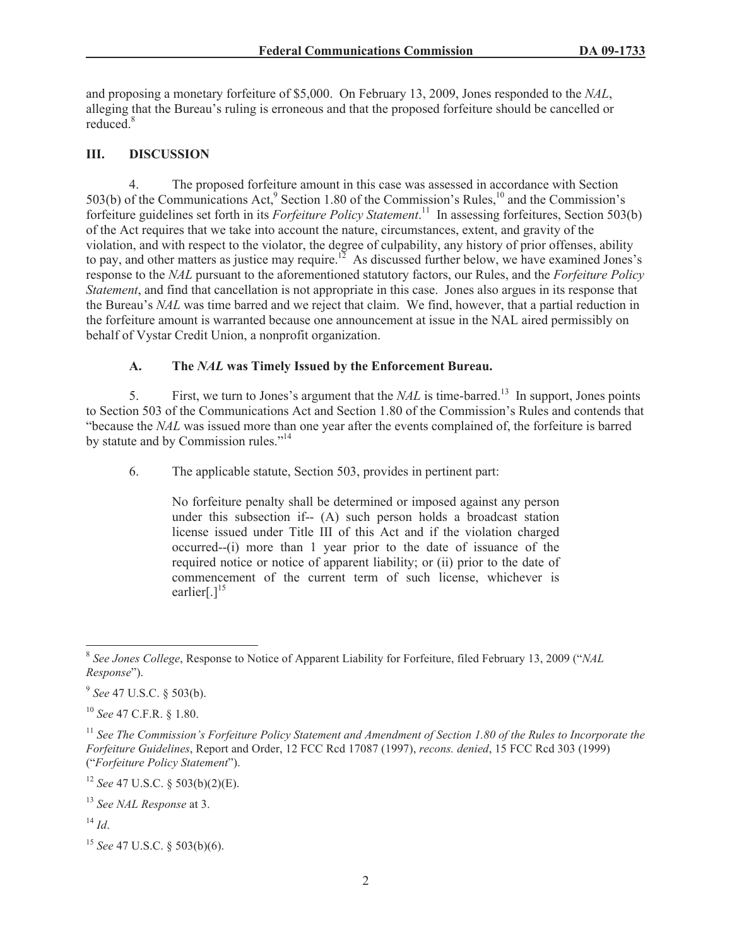and proposing a monetary forfeiture of \$5,000. On February 13, 2009, Jones responded to the *NAL*, alleging that the Bureau's ruling is erroneous and that the proposed forfeiture should be cancelled or reduced<sup>8</sup>

# **III. DISCUSSION**

4. The proposed forfeiture amount in this case was assessed in accordance with Section 503(b) of the Communications Act,<sup>9</sup> Section 1.80 of the Commission's Rules,<sup>10</sup> and the Commission's forfeiture guidelines set forth in its *Forfeiture Policy Statement*. <sup>11</sup> In assessing forfeitures, Section 503(b) of the Act requires that we take into account the nature, circumstances, extent, and gravity of the violation, and with respect to the violator, the degree of culpability, any history of prior offenses, ability to pay, and other matters as justice may require.<sup>12</sup> As discussed further below, we have examined Jones's response to the *NAL* pursuant to the aforementioned statutory factors, our Rules, and the *Forfeiture Policy Statement*, and find that cancellation is not appropriate in this case. Jones also argues in its response that the Bureau's *NAL* was time barred and we reject that claim. We find, however, that a partial reduction in the forfeiture amount is warranted because one announcement at issue in the NAL aired permissibly on behalf of Vystar Credit Union, a nonprofit organization.

# **A. The** *NAL* **was Timely Issued by the Enforcement Bureau.**

5. First, we turn to Jones's argument that the *NAL* is time-barred.<sup>13</sup> In support, Jones points to Section 503 of the Communications Act and Section 1.80 of the Commission's Rules and contends that "because the *NAL* was issued more than one year after the events complained of, the forfeiture is barred by statute and by Commission rules."<sup>14</sup>

6. The applicable statute, Section 503, provides in pertinent part:

No forfeiture penalty shall be determined or imposed against any person under this subsection if-- (A) such person holds a broadcast station license issued under Title III of this Act and if the violation charged occurred--(i) more than 1 year prior to the date of issuance of the required notice or notice of apparent liability; or (ii) prior to the date of commencement of the current term of such license, whichever is earlier[ $.1^{15}$ ]

<sup>12</sup> *See* 47 U.S.C. § 503(b)(2)(E).

<sup>8</sup> *See Jones College*, Response to Notice of Apparent Liability for Forfeiture, filed February 13, 2009 ("*NAL Response*").

<sup>9</sup> *See* 47 U.S.C. § 503(b).

<sup>10</sup> *See* 47 C.F.R. § 1.80.

<sup>&</sup>lt;sup>11</sup> See The Commission's Forfeiture Policy Statement and Amendment of Section 1.80 of the Rules to Incorporate the *Forfeiture Guidelines*, Report and Order, 12 FCC Rcd 17087 (1997), *recons. denied*, 15 FCC Rcd 303 (1999) ("*Forfeiture Policy Statement*").

<sup>13</sup> *See NAL Response* at 3.

 $^{14}$  *Id*.

<sup>15</sup> *See* 47 U.S.C. § 503(b)(6).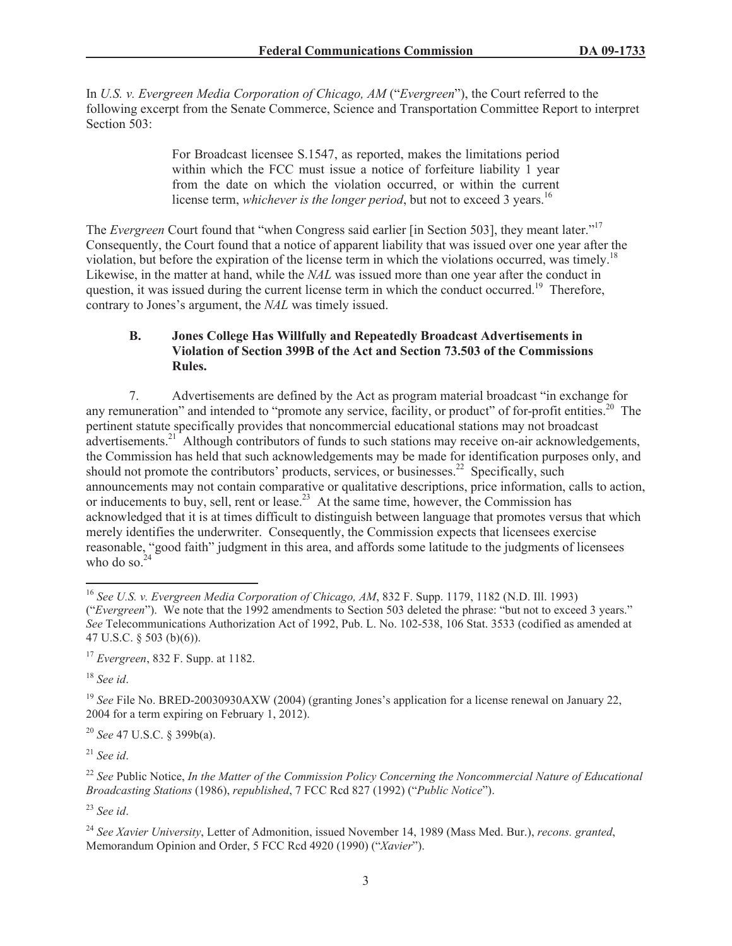In *U.S. v. Evergreen Media Corporation of Chicago, AM* ("*Evergreen*"), the Court referred to the following excerpt from the Senate Commerce, Science and Transportation Committee Report to interpret Section 503:

> For Broadcast licensee S.1547, as reported, makes the limitations period within which the FCC must issue a notice of forfeiture liability 1 year from the date on which the violation occurred, or within the current license term, *whichever is the longer period*, but not to exceed 3 years.<sup>16</sup>

The *Evergreen* Court found that "when Congress said earlier [in Section 503], they meant later."<sup>17</sup> Consequently, the Court found that a notice of apparent liability that was issued over one year after the violation, but before the expiration of the license term in which the violations occurred, was timely.<sup>18</sup> Likewise, in the matter at hand, while the *NAL* was issued more than one year after the conduct in question, it was issued during the current license term in which the conduct occurred.<sup>19</sup> Therefore, contrary to Jones's argument, the *NAL* was timely issued.

### **B. Jones College Has Willfully and Repeatedly Broadcast Advertisements in Violation of Section 399B of the Act and Section 73.503 of the Commissions Rules.**

7. Advertisements are defined by the Act as program material broadcast "in exchange for any remuneration" and intended to "promote any service, facility, or product" of for-profit entities.<sup>20</sup> The pertinent statute specifically provides that noncommercial educational stations may not broadcast advertisements.<sup>21</sup> Although contributors of funds to such stations may receive on-air acknowledgements, the Commission has held that such acknowledgements may be made for identification purposes only, and should not promote the contributors' products, services, or businesses.<sup>22</sup> Specifically, such announcements may not contain comparative or qualitative descriptions, price information, calls to action, or inducements to buy, sell, rent or lease.<sup>23</sup> At the same time, however, the Commission has acknowledged that it is at times difficult to distinguish between language that promotes versus that which merely identifies the underwriter. Consequently, the Commission expects that licensees exercise reasonable, "good faith" judgment in this area, and affords some latitude to the judgments of licensees who do so. $24$ 

<sup>18</sup> *See id*.

<sup>19</sup> *See* File No. BRED-20030930AXW (2004) (granting Jones's application for a license renewal on January 22, 2004 for a term expiring on February 1, 2012).

<sup>20</sup> *See* 47 U.S.C. § 399b(a).

<sup>21</sup> *See id*.

<sup>22</sup> *See* Public Notice, *In the Matter of the Commission Policy Concerning the Noncommercial Nature of Educational Broadcasting Stations* (1986), *republished*, 7 FCC Rcd 827 (1992) ("*Public Notice*").

<sup>23</sup> *See id*.

<sup>24</sup> *See Xavier University*, Letter of Admonition, issued November 14, 1989 (Mass Med. Bur.), *recons. granted*, Memorandum Opinion and Order, 5 FCC Rcd 4920 (1990) ("*Xavier*").

<sup>16</sup> *See U.S. v. Evergreen Media Corporation of Chicago, AM*, 832 F. Supp. 1179, 1182 (N.D. Ill. 1993) ("*Evergreen*"). We note that the 1992 amendments to Section 503 deleted the phrase: "but not to exceed 3 years." *See* Telecommunications Authorization Act of 1992, Pub. L. No. 102-538, 106 Stat. 3533 (codified as amended at 47 U.S.C. § 503 (b)(6)).

<sup>17</sup> *Evergreen*, 832 F. Supp. at 1182.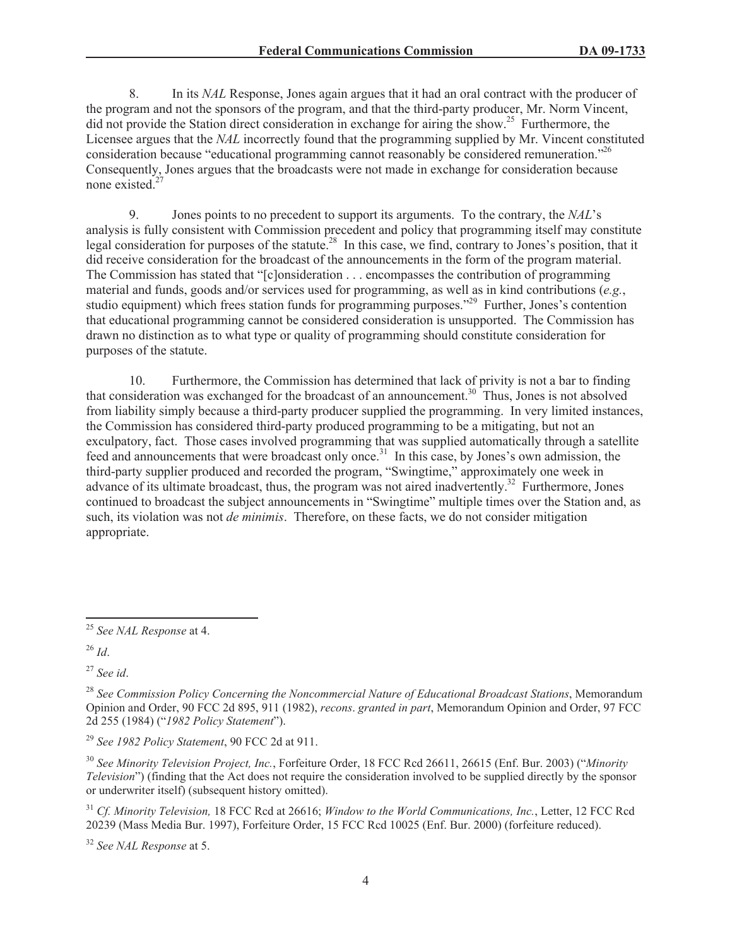8. In its *NAL* Response, Jones again argues that it had an oral contract with the producer of the program and not the sponsors of the program, and that the third-party producer, Mr. Norm Vincent, did not provide the Station direct consideration in exchange for airing the show.<sup>25</sup> Furthermore, the Licensee argues that the *NAL* incorrectly found that the programming supplied by Mr. Vincent constituted consideration because "educational programming cannot reasonably be considered remuneration."<sup>26</sup> Consequently, Jones argues that the broadcasts were not made in exchange for consideration because none existed.<sup>2</sup>

9. Jones points to no precedent to support its arguments. To the contrary, the *NAL*'s analysis is fully consistent with Commission precedent and policy that programming itself may constitute legal consideration for purposes of the statute.<sup>28</sup> In this case, we find, contrary to Jones's position, that it did receive consideration for the broadcast of the announcements in the form of the program material. The Commission has stated that "[c]onsideration . . . encompasses the contribution of programming material and funds, goods and/or services used for programming, as well as in kind contributions (*e.g.*, studio equipment) which frees station funds for programming purposes."<sup>29</sup> Further, Jones's contention that educational programming cannot be considered consideration is unsupported. The Commission has drawn no distinction as to what type or quality of programming should constitute consideration for purposes of the statute.

10. Furthermore, the Commission has determined that lack of privity is not a bar to finding that consideration was exchanged for the broadcast of an announcement.<sup>30</sup> Thus, Jones is not absolved from liability simply because a third-party producer supplied the programming. In very limited instances, the Commission has considered third-party produced programming to be a mitigating, but not an exculpatory, fact. Those cases involved programming that was supplied automatically through a satellite feed and announcements that were broadcast only once.<sup>31</sup> In this case, by Jones's own admission, the third-party supplier produced and recorded the program, "Swingtime," approximately one week in advance of its ultimate broadcast, thus, the program was not aired inadvertently.<sup>32</sup> Furthermore, Jones continued to broadcast the subject announcements in "Swingtime" multiple times over the Station and, as such, its violation was not *de minimis*. Therefore, on these facts, we do not consider mitigation appropriate.

<sup>27</sup> *See id*.

<sup>25</sup> *See NAL Response* at 4.

<sup>26</sup> *Id*.

<sup>28</sup> *See Commission Policy Concerning the Noncommercial Nature of Educational Broadcast Stations*, Memorandum Opinion and Order, 90 FCC 2d 895, 911 (1982), *recons*. *granted in part*, Memorandum Opinion and Order, 97 FCC 2d 255 (1984) ("*1982 Policy Statement*").

<sup>29</sup> *See 1982 Policy Statement*, 90 FCC 2d at 911.

<sup>30</sup> *See Minority Television Project, Inc.*, Forfeiture Order, 18 FCC Rcd 26611, 26615 (Enf. Bur. 2003) ("*Minority Television*") (finding that the Act does not require the consideration involved to be supplied directly by the sponsor or underwriter itself) (subsequent history omitted).

<sup>31</sup> *Cf. Minority Television,* 18 FCC Rcd at 26616; *Window to the World Communications, Inc.*, Letter, 12 FCC Rcd 20239 (Mass Media Bur. 1997), Forfeiture Order, 15 FCC Rcd 10025 (Enf. Bur. 2000) (forfeiture reduced).

<sup>32</sup> *See NAL Response* at 5.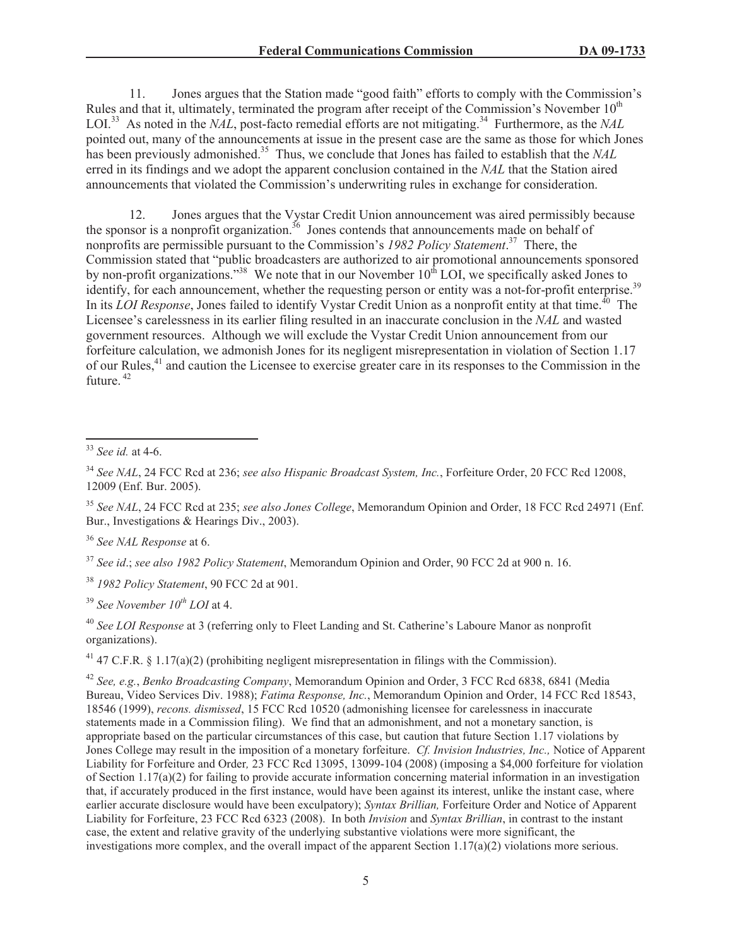11. Jones argues that the Station made "good faith" efforts to comply with the Commission's Rules and that it, ultimately, terminated the program after receipt of the Commission's November  $10<sup>th</sup>$ LOI.<sup>33</sup> As noted in the *NAL*, post-facto remedial efforts are not mitigating.<sup>34</sup> Furthermore, as the *NAL* pointed out, many of the announcements at issue in the present case are the same as those for which Jones has been previously admonished.<sup>35</sup> Thus, we conclude that Jones has failed to establish that the *NAL* erred in its findings and we adopt the apparent conclusion contained in the *NAL* that the Station aired announcements that violated the Commission's underwriting rules in exchange for consideration.

12. Jones argues that the Vystar Credit Union announcement was aired permissibly because the sponsor is a nonprofit organization.<sup>36</sup> Jones contends that announcements made on behalf of nonprofits are permissible pursuant to the Commission's *1982 Policy Statement*. <sup>37</sup> There, the Commission stated that "public broadcasters are authorized to air promotional announcements sponsored by non-profit organizations."<sup>38</sup> We note that in our November  $10^{th}$  LOI, we specifically asked Jones to identify, for each announcement, whether the requesting person or entity was a not-for-profit enterprise.<sup>39</sup> In its *LOI Response*, Jones failed to identify Vystar Credit Union as a nonprofit entity at that time.<sup>40</sup> The Licensee's carelessness in its earlier filing resulted in an inaccurate conclusion in the *NAL* and wasted government resources. Although we will exclude the Vystar Credit Union announcement from our forfeiture calculation, we admonish Jones for its negligent misrepresentation in violation of Section 1.17 of our Rules,<sup>41</sup> and caution the Licensee to exercise greater care in its responses to the Commission in the future. <sup>42</sup>

<sup>35</sup> *See NAL*, 24 FCC Rcd at 235; *see also Jones College*, Memorandum Opinion and Order, 18 FCC Rcd 24971 (Enf. Bur., Investigations & Hearings Div., 2003).

<sup>37</sup> *See id*.; *see also 1982 Policy Statement*, Memorandum Opinion and Order, 90 FCC 2d at 900 n. 16.

<sup>38</sup> *1982 Policy Statement*, 90 FCC 2d at 901.

<sup>39</sup> *See November 10th LOI* at 4.

<sup>40</sup> *See LOI Response* at 3 (referring only to Fleet Landing and St. Catherine's Laboure Manor as nonprofit organizations).

<sup>41</sup> 47 C.F.R. § 1.17(a)(2) (prohibiting negligent misrepresentation in filings with the Commission).

<sup>42</sup> *See, e.g.*, *Benko Broadcasting Company*, Memorandum Opinion and Order, 3 FCC Rcd 6838, 6841 (Media Bureau, Video Services Div. 1988); *Fatima Response, Inc.*, Memorandum Opinion and Order, 14 FCC Rcd 18543, 18546 (1999), *recons. dismissed*, 15 FCC Rcd 10520 (admonishing licensee for carelessness in inaccurate statements made in a Commission filing). We find that an admonishment, and not a monetary sanction, is appropriate based on the particular circumstances of this case, but caution that future Section 1.17 violations by Jones College may result in the imposition of a monetary forfeiture. *Cf. Invision Industries, Inc.,* Notice of Apparent Liability for Forfeiture and Order*,* 23 FCC Rcd 13095, 13099-104 (2008) (imposing a \$4,000 forfeiture for violation of Section  $1.17(a)(2)$  for failing to provide accurate information concerning material information in an investigation that, if accurately produced in the first instance, would have been against its interest, unlike the instant case, where earlier accurate disclosure would have been exculpatory); *Syntax Brillian,* Forfeiture Order and Notice of Apparent Liability for Forfeiture, 23 FCC Rcd 6323 (2008). In both *Invision* and *Syntax Brillian*, in contrast to the instant case, the extent and relative gravity of the underlying substantive violations were more significant, the investigations more complex, and the overall impact of the apparent Section  $1.17(a)(2)$  violations more serious.

<sup>33</sup> *See id.* at 4-6.

<sup>34</sup> *See NAL*, 24 FCC Rcd at 236; *see also Hispanic Broadcast System, Inc.*, Forfeiture Order, 20 FCC Rcd 12008, 12009 (Enf. Bur. 2005).

<sup>36</sup> *See NAL Response* at 6.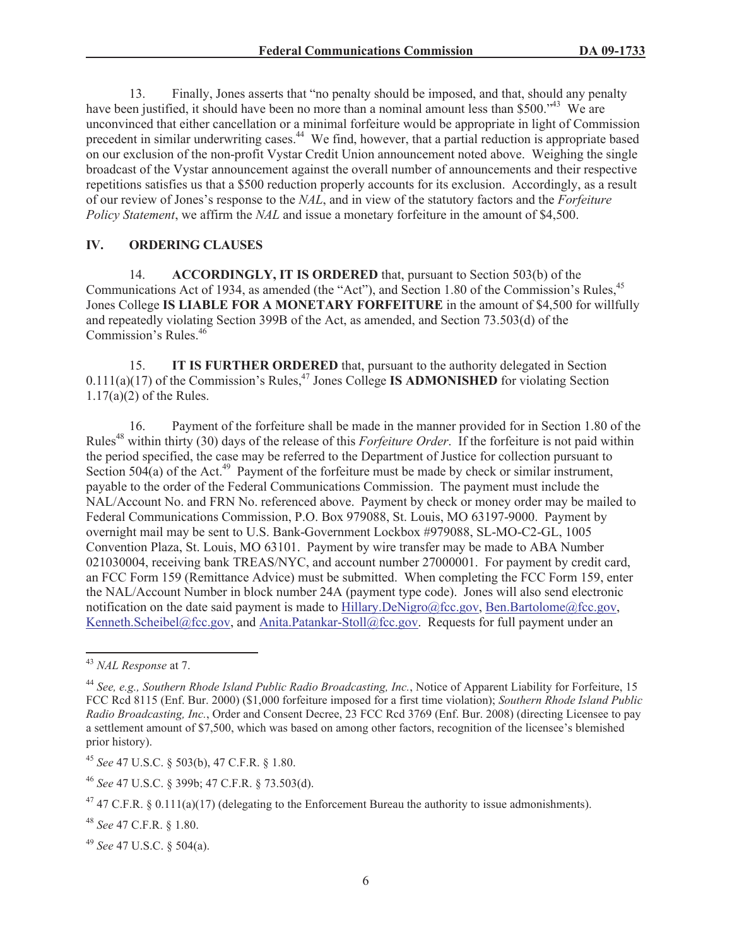13. Finally, Jones asserts that "no penalty should be imposed, and that, should any penalty have been justified, it should have been no more than a nominal amount less than \$500.<sup>\*43</sup> We are unconvinced that either cancellation or a minimal forfeiture would be appropriate in light of Commission precedent in similar underwriting cases.<sup>44</sup> We find, however, that a partial reduction is appropriate based on our exclusion of the non-profit Vystar Credit Union announcement noted above. Weighing the single broadcast of the Vystar announcement against the overall number of announcements and their respective repetitions satisfies us that a \$500 reduction properly accounts for its exclusion. Accordingly, as a result of our review of Jones's response to the *NAL*, and in view of the statutory factors and the *Forfeiture Policy Statement*, we affirm the *NAL* and issue a monetary forfeiture in the amount of \$4,500.

#### **IV. ORDERING CLAUSES**

14. **ACCORDINGLY, IT IS ORDERED** that, pursuant to Section 503(b) of the Communications Act of 1934, as amended (the "Act"), and Section 1.80 of the Commission's Rules,<sup>45</sup> Jones College **IS LIABLE FOR A MONETARY FORFEITURE** in the amount of \$4,500 for willfully and repeatedly violating Section 399B of the Act, as amended, and Section 73.503(d) of the Commission's Rules.<sup>46</sup>

15. **IT IS FURTHER ORDERED** that, pursuant to the authority delegated in Section  $0.111(a)(17)$  of the Commission's Rules,<sup>47</sup> Jones College **IS ADMONISHED** for violating Section 1.17(a)(2) of the Rules.

16. Payment of the forfeiture shall be made in the manner provided for in Section 1.80 of the Rules<sup>48</sup> within thirty (30) days of the release of this *Forfeiture Order*. If the forfeiture is not paid within the period specified, the case may be referred to the Department of Justice for collection pursuant to Section  $504(a)$  of the Act.<sup>49</sup> Payment of the forfeiture must be made by check or similar instrument, payable to the order of the Federal Communications Commission. The payment must include the NAL/Account No. and FRN No. referenced above. Payment by check or money order may be mailed to Federal Communications Commission, P.O. Box 979088, St. Louis, MO 63197-9000. Payment by overnight mail may be sent to U.S. Bank-Government Lockbox #979088, SL-MO-C2-GL, 1005 Convention Plaza, St. Louis, MO 63101. Payment by wire transfer may be made to ABA Number 021030004, receiving bank TREAS/NYC, and account number 27000001. For payment by credit card, an FCC Form 159 (Remittance Advice) must be submitted. When completing the FCC Form 159, enter the NAL/Account Number in block number 24A (payment type code). Jones will also send electronic notification on the date said payment is made to Hillary.DeNigro@fcc.gov, Ben.Bartolome@fcc.gov, Kenneth.Scheibel@fcc.gov, and Anita.Patankar-Stoll@fcc.gov. Requests for full payment under an

<sup>43</sup> *NAL Response* at 7.

<sup>44</sup> *See, e.g., Southern Rhode Island Public Radio Broadcasting, Inc.*, Notice of Apparent Liability for Forfeiture, 15 FCC Rcd 8115 (Enf. Bur. 2000) (\$1,000 forfeiture imposed for a first time violation); *Southern Rhode Island Public Radio Broadcasting, Inc.*, Order and Consent Decree, 23 FCC Rcd 3769 (Enf. Bur. 2008) (directing Licensee to pay a settlement amount of \$7,500, which was based on among other factors, recognition of the licensee's blemished prior history).

<sup>45</sup> *See* 47 U.S.C. § 503(b), 47 C.F.R. § 1.80.

<sup>46</sup> *See* 47 U.S.C. § 399b; 47 C.F.R. § 73.503(d).

<sup>&</sup>lt;sup>47</sup> 47 C.F.R. § 0.111(a)(17) (delegating to the Enforcement Bureau the authority to issue admonishments).

<sup>48</sup> *See* 47 C.F.R. § 1.80.

<sup>49</sup> *See* 47 U.S.C. § 504(a).